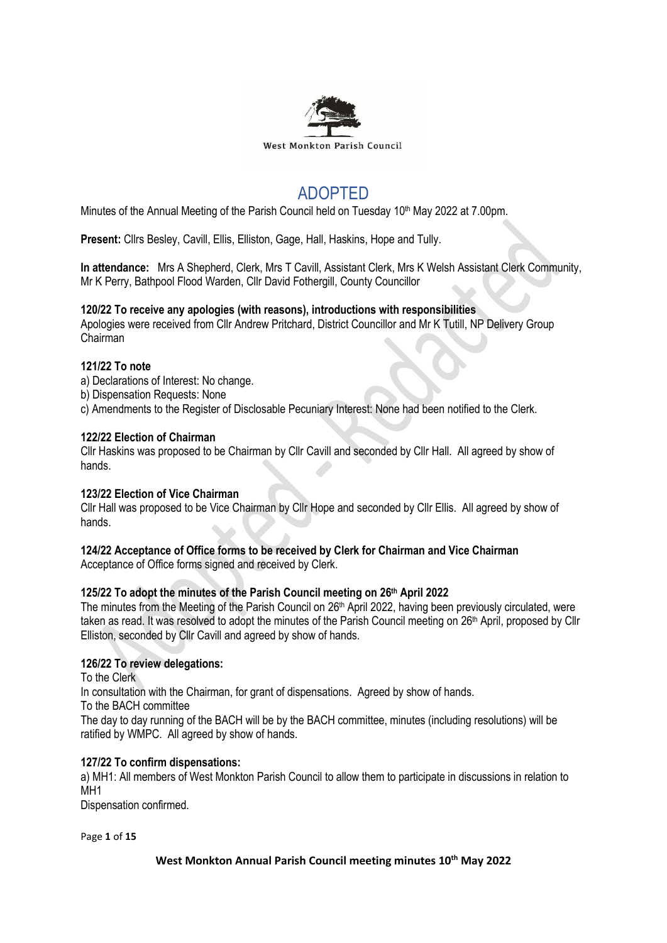

# ADOPTED

Minutes of the Annual Meeting of the Parish Council held on Tuesday 10<sup>th</sup> May 2022 at 7.00pm.

**Present:** Cllrs Besley, Cavill, Ellis, Elliston, Gage, Hall, Haskins, Hope and Tully.

**In attendance:** Mrs A Shepherd, Clerk, Mrs T Cavill, Assistant Clerk, Mrs K Welsh Assistant Clerk Community, Mr K Perry, Bathpool Flood Warden, Cllr David Fothergill, County Councillor

# **120/22 To receive any apologies (with reasons), introductions with responsibilities**

Apologies were received from Cllr Andrew Pritchard, District Councillor and Mr K Tutill, NP Delivery Group Chairman

## **121/22 To note**

a) Declarations of Interest: No change.

b) Dispensation Requests: None

c) Amendments to the Register of Disclosable Pecuniary Interest: None had been notified to the Clerk.

## **122/22 Election of Chairman**

Cllr Haskins was proposed to be Chairman by Cllr Cavill and seconded by Cllr Hall. All agreed by show of hands.

#### **123/22 Election of Vice Chairman**

Cllr Hall was proposed to be Vice Chairman by Cllr Hope and seconded by Cllr Ellis. All agreed by show of hands.

#### **124/22 Acceptance of Office forms to be received by Clerk for Chairman and Vice Chairman** Acceptance of Office forms signed and received by Clerk.

# **125/22 To adopt the minutes of the Parish Council meeting on 26th April 2022**

The minutes from the Meeting of the Parish Council on 26<sup>th</sup> April 2022, having been previously circulated, were taken as read. It was resolved to adopt the minutes of the Parish Council meeting on 26<sup>th</sup> April, proposed by Cllr Elliston, seconded by Cllr Cavill and agreed by show of hands.

# **126/22 To review delegations:**

To the Clerk In consultation with the Chairman, for grant of dispensations. Agreed by show of hands. To the BACH committee The day to day running of the BACH will be by the BACH committee, minutes (including resolutions) will be ratified by WMPC. All agreed by show of hands.

#### **127/22 To confirm dispensations:**

a) MH1: All members of West Monkton Parish Council to allow them to participate in discussions in relation to MH<sub>1</sub>

Dispensation confirmed.

Page **1** of **15**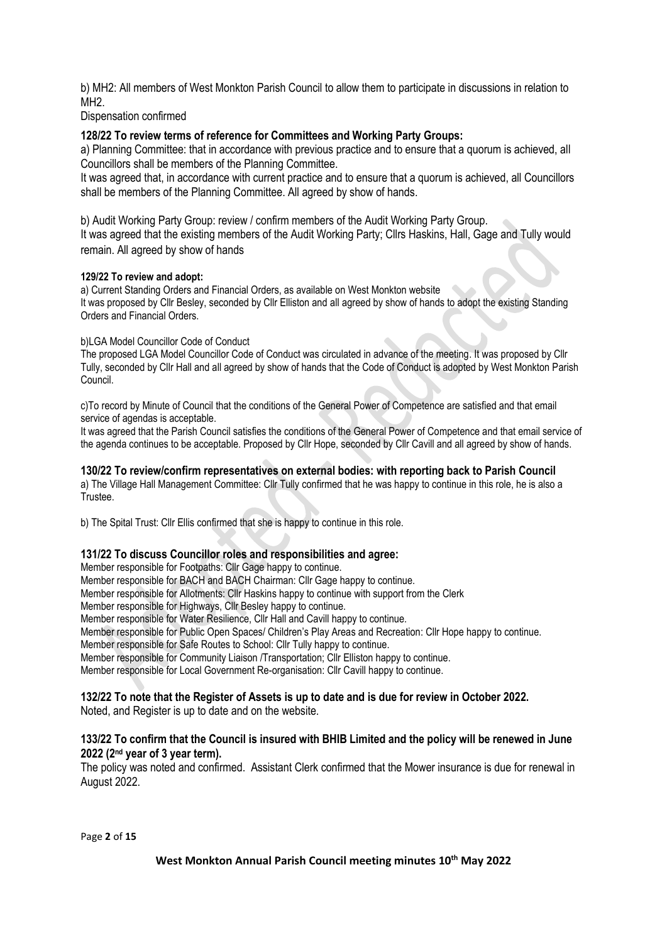b) MH2: All members of West Monkton Parish Council to allow them to participate in discussions in relation to MH2.

Dispensation confirmed

# **128/22 To review terms of reference for Committees and Working Party Groups:**

a) Planning Committee: that in accordance with previous practice and to ensure that a quorum is achieved, all Councillors shall be members of the Planning Committee.

It was agreed that, in accordance with current practice and to ensure that a quorum is achieved, all Councillors shall be members of the Planning Committee. All agreed by show of hands.

b) Audit Working Party Group: review / confirm members of the Audit Working Party Group.

It was agreed that the existing members of the Audit Working Party; Cllrs Haskins, Hall, Gage and Tully would remain. All agreed by show of hands

## **129/22 To review and adopt:**

a) Current Standing Orders and Financial Orders, as available on West Monkton website It was proposed by Cllr Besley, seconded by Cllr Elliston and all agreed by show of hands to adopt the existing Standing Orders and Financial Orders.

## b)LGA Model Councillor Code of Conduct

The proposed LGA Model Councillor Code of Conduct was circulated in advance of the meeting. It was proposed by Cllr Tully, seconded by Cllr Hall and all agreed by show of hands that the Code of Conduct is adopted by West Monkton Parish Council.

c)To record by Minute of Council that the conditions of the General Power of Competence are satisfied and that email service of agendas is acceptable.

It was agreed that the Parish Council satisfies the conditions of the General Power of Competence and that email service of the agenda continues to be acceptable. Proposed by Cllr Hope, seconded by Cllr Cavill and all agreed by show of hands.

## **130/22 To review/confirm representatives on external bodies: with reporting back to Parish Council**

a) The Village Hall Management Committee: Cllr Tully confirmed that he was happy to continue in this role, he is also a Trustee.

b) The Spital Trust: Cllr Ellis confirmed that she is happy to continue in this role.

# **131/22 To discuss Councillor roles and responsibilities and agree:**

Member responsible for Footpaths: Cllr Gage happy to continue.

Member responsible for BACH and BACH Chairman: Cllr Gage happy to continue.

Member responsible for Allotments: Cllr Haskins happy to continue with support from the Clerk

Member responsible for Highways, Cllr Besley happy to continue.

Member responsible for Water Resilience, Cllr Hall and Cavill happy to continue.

Member responsible for Public Open Spaces/ Children's Play Areas and Recreation: Cllr Hope happy to continue.

Member responsible for Safe Routes to School: Cllr Tully happy to continue.

Member responsible for Community Liaison /Transportation; Cllr Elliston happy to continue.

Member responsible for Local Government Re-organisation: Cllr Cavill happy to continue.

# **132/22 To note that the Register of Assets is up to date and is due for review in October 2022.**

Noted, and Register is up to date and on the website.

## **133/22 To confirm that the Council is insured with BHIB Limited and the policy will be renewed in June 2022 (2nd year of 3 year term).**

The policy was noted and confirmed. Assistant Clerk confirmed that the Mower insurance is due for renewal in August 2022.

Page **2** of **15**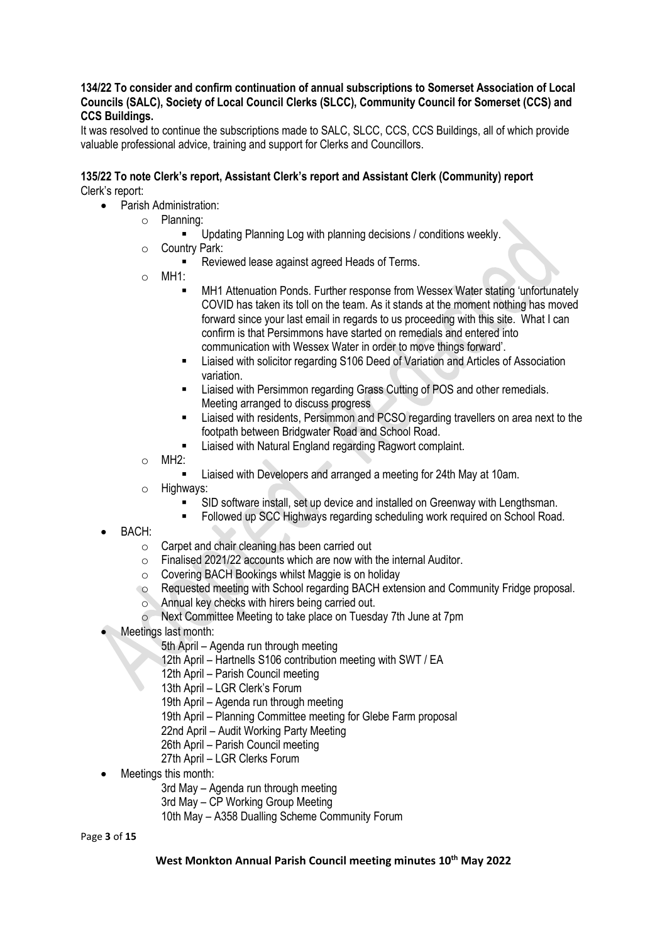## **134/22 To consider and confirm continuation of annual subscriptions to Somerset Association of Local Councils (SALC), Society of Local Council Clerks (SLCC), Community Council for Somerset (CCS) and CCS Buildings.**

It was resolved to continue the subscriptions made to SALC, SLCC, CCS, CCS Buildings, all of which provide valuable professional advice, training and support for Clerks and Councillors.

## **135/22 To note Clerk's report, Assistant Clerk's report and Assistant Clerk (Community) report** Clerk's report:

- Parish Administration:
	- o Planning:
		- Updating Planning Log with planning decisions / conditions weekly.
	- o Country Park:
		- Reviewed lease against agreed Heads of Terms.
	- o MH1:
		- MH1 Attenuation Ponds. Further response from Wessex Water stating 'unfortunately COVID has taken its toll on the team. As it stands at the moment nothing has moved forward since your last email in regards to us proceeding with this site. What I can confirm is that Persimmons have started on remedials and entered into communication with Wessex Water in order to move things forward'.
		- Liaised with solicitor regarding S106 Deed of Variation and Articles of Association variation.
		- Liaised with Persimmon regarding Grass Cutting of POS and other remedials. Meeting arranged to discuss progress
		- **EXECT** Liaised with residents, Persimmon and PCSO regarding travellers on area next to the footpath between Bridgwater Road and School Road.
		- Liaised with Natural England regarding Ragwort complaint.
	- o MH2:
		- Liaised with Developers and arranged a meeting for 24th May at 10am.
	- o Highways:
		- SID software install, set up device and installed on Greenway with Lengthsman.
		- **Followed up SCC Highways regarding scheduling work required on School Road.**
- BACH:
	- o Carpet and chair cleaning has been carried out
	- $\circ$  Finalised 2021/22 accounts which are now with the internal Auditor.
	- o Covering BACH Bookings whilst Maggie is on holiday
	- o Requested meeting with School regarding BACH extension and Community Fridge proposal.
	- o Annual key checks with hirers being carried out.
	- o Next Committee Meeting to take place on Tuesday 7th June at 7pm
- Meetings last month:
	- 5th April Agenda run through meeting
	- 12th April Hartnells S106 contribution meeting with SWT / EA
	- 12th April Parish Council meeting
	- 13th April LGR Clerk's Forum
	- 19th April Agenda run through meeting
	- 19th April Planning Committee meeting for Glebe Farm proposal
	- 22nd April Audit Working Party Meeting
	- 26th April Parish Council meeting
	- 27th April LGR Clerks Forum
- Meetings this month:
	- 3rd May Agenda run through meeting
	- 3rd May CP Working Group Meeting
	- 10th May A358 Dualling Scheme Community Forum

Page **3** of **15**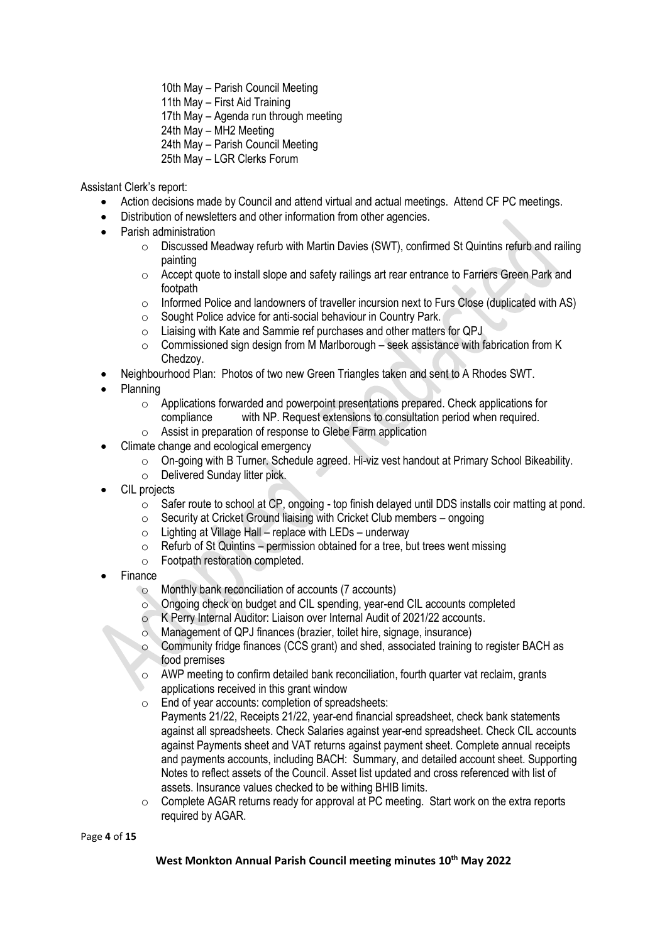10th May – Parish Council Meeting

11th May – First Aid Training

17th May – Agenda run through meeting

24th May – MH2 Meeting

24th May – Parish Council Meeting

25th May – LGR Clerks Forum

Assistant Clerk's report:

- Action decisions made by Council and attend virtual and actual meetings. Attend CF PC meetings.
- Distribution of newsletters and other information from other agencies.
- Parish administration
	- $\circ$  Discussed Meadway refurb with Martin Davies (SWT), confirmed St Quintins refurb and railing painting
	- o Accept quote to install slope and safety railings art rear entrance to Farriers Green Park and footpath
	- $\circ$  Informed Police and landowners of traveller incursion next to Furs Close (duplicated with AS)
	- o Sought Police advice for anti-social behaviour in Country Park.
	- o Liaising with Kate and Sammie ref purchases and other matters for QPJ
	- $\circ$  Commissioned sign design from M Marlborough seek assistance with fabrication from K Chedzoy.
- Neighbourhood Plan: Photos of two new Green Triangles taken and sent to A Rhodes SWT.
- Planning
	- o Applications forwarded and powerpoint presentations prepared. Check applications for compliance with NP. Request extensions to consultation period when required.
	- o Assist in preparation of response to Glebe Farm application
- Climate change and ecological emergency
	- o On-going with B Turner. Schedule agreed. Hi-viz vest handout at Primary School Bikeability.
	- o Delivered Sunday litter pick.
- CIL projects
	- o Safer route to school at CP, ongoing top finish delayed until DDS installs coir matting at pond.
	- $\circ$  Security at Cricket Ground liaising with Cricket Club members ongoing
	- $\circ$  Lighting at Village Hall replace with LEDs underway
	- $\circ$  Refurb of St Quintins permission obtained for a tree, but trees went missing
	- o Footpath restoration completed.
- **Finance** 
	- o Monthly bank reconciliation of accounts (7 accounts)
	- o Ongoing check on budget and CIL spending, year-end CIL accounts completed
	- K Perry Internal Auditor: Liaison over Internal Audit of 2021/22 accounts.
	- o Management of QPJ finances (brazier, toilet hire, signage, insurance)
	- o Community fridge finances (CCS grant) and shed, associated training to register BACH as food premises
	- o AWP meeting to confirm detailed bank reconciliation, fourth quarter vat reclaim, grants applications received in this grant window
	- o End of year accounts: completion of spreadsheets: Payments 21/22, Receipts 21/22, year-end financial spreadsheet, check bank statements against all spreadsheets. Check Salaries against year-end spreadsheet. Check CIL accounts against Payments sheet and VAT returns against payment sheet. Complete annual receipts and payments accounts, including BACH: Summary, and detailed account sheet. Supporting Notes to reflect assets of the Council. Asset list updated and cross referenced with list of assets. Insurance values checked to be withing BHIB limits.
	- o Complete AGAR returns ready for approval at PC meeting. Start work on the extra reports required by AGAR.

Page **4** of **15**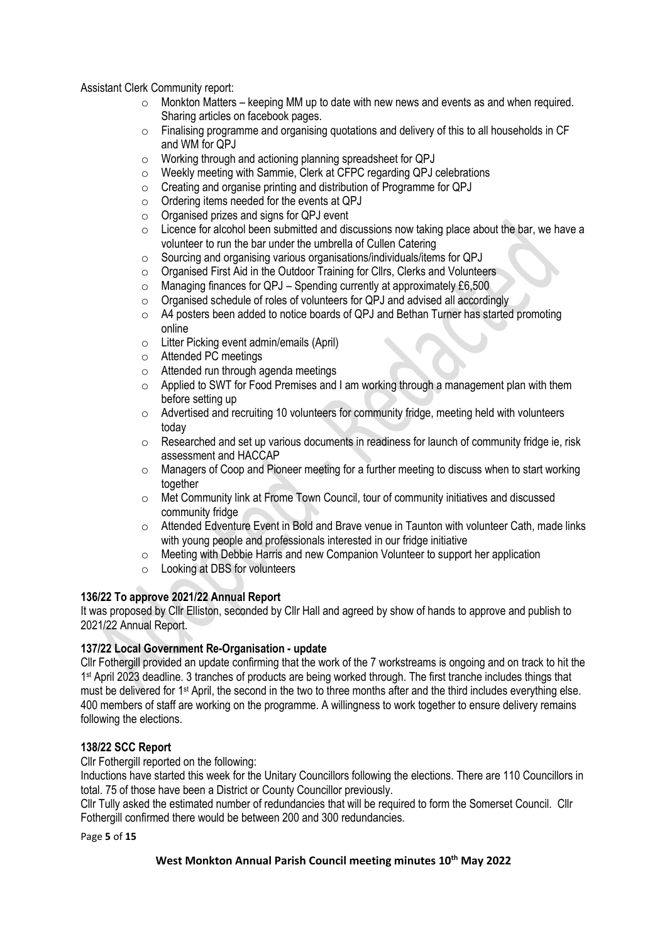Assistant Clerk Community report:

- $\circ$  Monkton Matters keeping MM up to date with new news and events as and when required. Sharing articles on facebook pages.
- $\circ$  Finalising programme and organising quotations and delivery of this to all households in CF and WM for QPJ
- o Working through and actioning planning spreadsheet for QPJ
- o Weekly meeting with Sammie, Clerk at CFPC regarding QPJ celebrations
- $\circ$  Creating and organise printing and distribution of Programme for QPJ
- o Ordering items needed for the events at QPJ
- o Organised prizes and signs for QPJ event
- $\circ$  Licence for alcohol been submitted and discussions now taking place about the bar, we have a volunteer to run the bar under the umbrella of Cullen Catering
- o Sourcing and organising various organisations/individuals/items for QPJ
- o Organised First Aid in the Outdoor Training for Cllrs, Clerks and Volunteers
- $\circ$  Managing finances for QPJ Spending currently at approximately £6,500
- o Organised schedule of roles of volunteers for QPJ and advised all accordingly
- $\circ$  A4 posters been added to notice boards of QPJ and Bethan Turner has started promoting online
- o Litter Picking event admin/emails (April)
- o Attended PC meetings
- o Attended run through agenda meetings
- o Applied to SWT for Food Premises and I am working through a management plan with them before setting up
- o Advertised and recruiting 10 volunteers for community fridge, meeting held with volunteers today
- $\circ$  Researched and set up various documents in readiness for launch of community fridge ie, risk assessment and HACCAP
- o Managers of Coop and Pioneer meeting for a further meeting to discuss when to start working together
- o Met Community link at Frome Town Council, tour of community initiatives and discussed community fridge
- $\circ$  Attended Edventure Event in Bold and Brave venue in Taunton with volunteer Cath, made links with young people and professionals interested in our fridge initiative
- o Meeting with Debbie Harris and new Companion Volunteer to support her application
- o Looking at DBS for volunteers

# **136/22 To approve 2021/22 Annual Report**

It was proposed by Cllr Elliston, seconded by Cllr Hall and agreed by show of hands to approve and publish to 2021/22 Annual Report.

#### **137/22 Local Government Re-Organisation - update**

Cllr Fothergill provided an update confirming that the work of the 7 workstreams is ongoing and on track to hit the 1<sup>st</sup> April 2023 deadline. 3 tranches of products are being worked through. The first tranche includes things that must be delivered for 1st April, the second in the two to three months after and the third includes everything else. 400 members of staff are working on the programme. A willingness to work together to ensure delivery remains following the elections.

# **138/22 SCC Report**

Cllr Fothergill reported on the following:

Inductions have started this week for the Unitary Councillors following the elections. There are 110 Councillors in total. 75 of those have been a District or County Councillor previously.

Cllr Tully asked the estimated number of redundancies that will be required to form the Somerset Council. Cllr Fothergill confirmed there would be between 200 and 300 redundancies.

Page **5** of **15**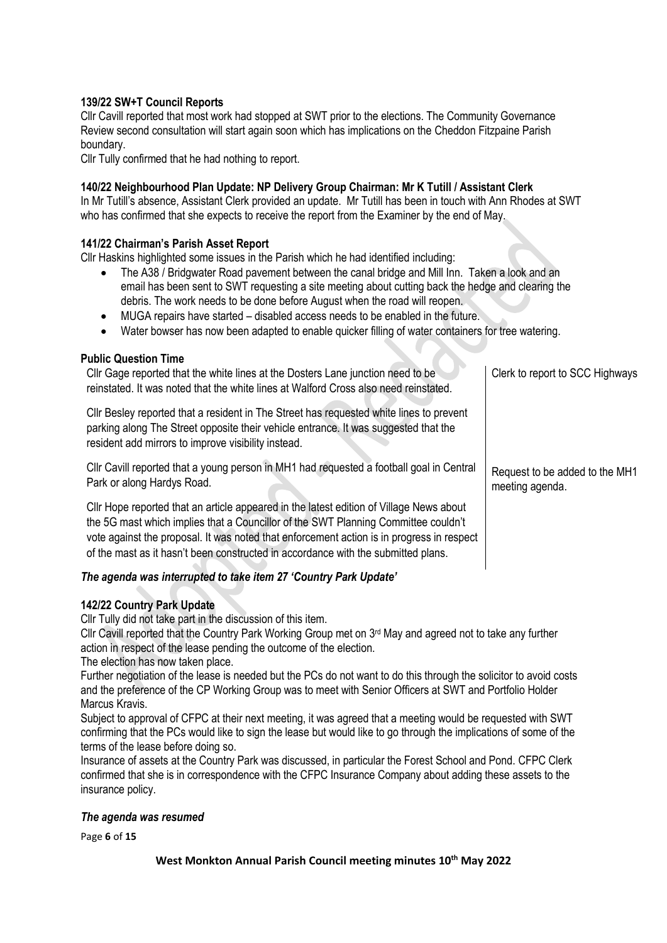# **139/22 SW+T Council Reports**

Cllr Cavill reported that most work had stopped at SWT prior to the elections. The Community Governance Review second consultation will start again soon which has implications on the Cheddon Fitzpaine Parish boundary.

Cllr Tully confirmed that he had nothing to report.

# **140/22 Neighbourhood Plan Update: NP Delivery Group Chairman: Mr K Tutill / Assistant Clerk**

In Mr Tutill's absence, Assistant Clerk provided an update. Mr Tutill has been in touch with Ann Rhodes at SWT who has confirmed that she expects to receive the report from the Examiner by the end of May.

# **141/22 Chairman's Parish Asset Report**

Cllr Haskins highlighted some issues in the Parish which he had identified including:

- The A38 / Bridgwater Road pavement between the canal bridge and Mill Inn. Taken a look and an email has been sent to SWT requesting a site meeting about cutting back the hedge and clearing the debris. The work needs to be done before August when the road will reopen.
- MUGA repairs have started disabled access needs to be enabled in the future.
- Water bowser has now been adapted to enable quicker filling of water containers for tree watering.

#### **Public Question Time**

Cllr Gage reported that the white lines at the Dosters Lane junction need to be reinstated. It was noted that the white lines at Walford Cross also need reinstated. Cllr Besley reported that a resident in The Street has requested white lines to prevent parking along The Street opposite their vehicle entrance. It was suggested that the resident add mirrors to improve visibility instead. Cllr Cavill reported that a young person in MH1 had requested a football goal in Central Park or along Hardys Road. Cllr Hope reported that an article appeared in the latest edition of Village News about the 5G mast which implies that a Councillor of the SWT Planning Committee couldn't vote against the proposal. It was noted that enforcement action is in progress in respect of the mast as it hasn't been constructed in accordance with the submitted plans. Clerk to report to SCC Highways Request to be added to the MH1 meeting agenda.

# *The agenda was interrupted to take item 27 'Country Park Update'*

# **142/22 Country Park Update**

Cllr Tully did not take part in the discussion of this item.

Cllr Cavill reported that the Country Park Working Group met on 3<sup>rd</sup> May and agreed not to take any further action in respect of the lease pending the outcome of the election.

The election has now taken place.

Further negotiation of the lease is needed but the PCs do not want to do this through the solicitor to avoid costs and the preference of the CP Working Group was to meet with Senior Officers at SWT and Portfolio Holder Marcus Kravis.

Subject to approval of CFPC at their next meeting, it was agreed that a meeting would be requested with SWT confirming that the PCs would like to sign the lease but would like to go through the implications of some of the terms of the lease before doing so.

Insurance of assets at the Country Park was discussed, in particular the Forest School and Pond. CFPC Clerk confirmed that she is in correspondence with the CFPC Insurance Company about adding these assets to the insurance policy.

#### *The agenda was resumed*

Page **6** of **15**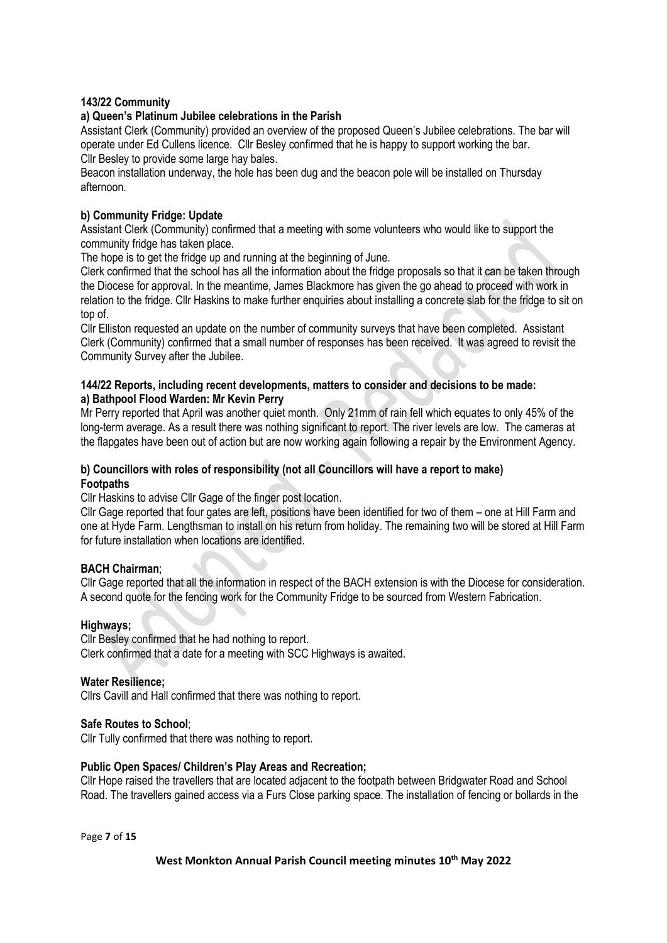## **143/22 Community**

#### **a) Queen's Platinum Jubilee celebrations in the Parish**

Assistant Clerk (Community) provided an overview of the proposed Queen's Jubilee celebrations. The bar will operate under Ed Cullens licence. Cllr Besley confirmed that he is happy to support working the bar. Cllr Besley to provide some large hay bales.

Beacon installation underway, the hole has been dug and the beacon pole will be installed on Thursday afternoon.

## **b) Community Fridge: Update**

Assistant Clerk (Community) confirmed that a meeting with some volunteers who would like to support the community fridge has taken place.

The hope is to get the fridge up and running at the beginning of June.

Clerk confirmed that the school has all the information about the fridge proposals so that it can be taken through the Diocese for approval. In the meantime, James Blackmore has given the go ahead to proceed with work in relation to the fridge. Cllr Haskins to make further enquiries about installing a concrete slab for the fridge to sit on top of.

Cllr Elliston requested an update on the number of community surveys that have been completed. Assistant Clerk (Community) confirmed that a small number of responses has been received. It was agreed to revisit the Community Survey after the Jubilee.

## **144/22 Reports, including recent developments, matters to consider and decisions to be made: a) Bathpool Flood Warden: Mr Kevin Perry**

Mr Perry reported that April was another quiet month. Only 21mm of rain fell which equates to only 45% of the long-term average. As a result there was nothing significant to report. The river levels are low. The cameras at the flapgates have been out of action but are now working again following a repair by the Environment Agency.

## **b) Councillors with roles of responsibility (not all Councillors will have a report to make) Footpaths**

Cllr Haskins to advise Cllr Gage of the finger post location.

Cllr Gage reported that four gates are left, positions have been identified for two of them – one at Hill Farm and one at Hyde Farm. Lengthsman to install on his return from holiday. The remaining two will be stored at Hill Farm for future installation when locations are identified.

# **BACH Chairman**;

Cllr Gage reported that all the information in respect of the BACH extension is with the Diocese for consideration. A second quote for the fencing work for the Community Fridge to be sourced from Western Fabrication.

#### **Highways;**

Cllr Besley confirmed that he had nothing to report. Clerk confirmed that a date for a meeting with SCC Highways is awaited.

#### **Water Resilience;**

Cllrs Cavill and Hall confirmed that there was nothing to report.

#### **Safe Routes to School**;

Cllr Tully confirmed that there was nothing to report.

#### **Public Open Spaces/ Children's Play Areas and Recreation;**

Cllr Hope raised the travellers that are located adjacent to the footpath between Bridgwater Road and School Road. The travellers gained access via a Furs Close parking space. The installation of fencing or bollards in the

Page **7** of **15**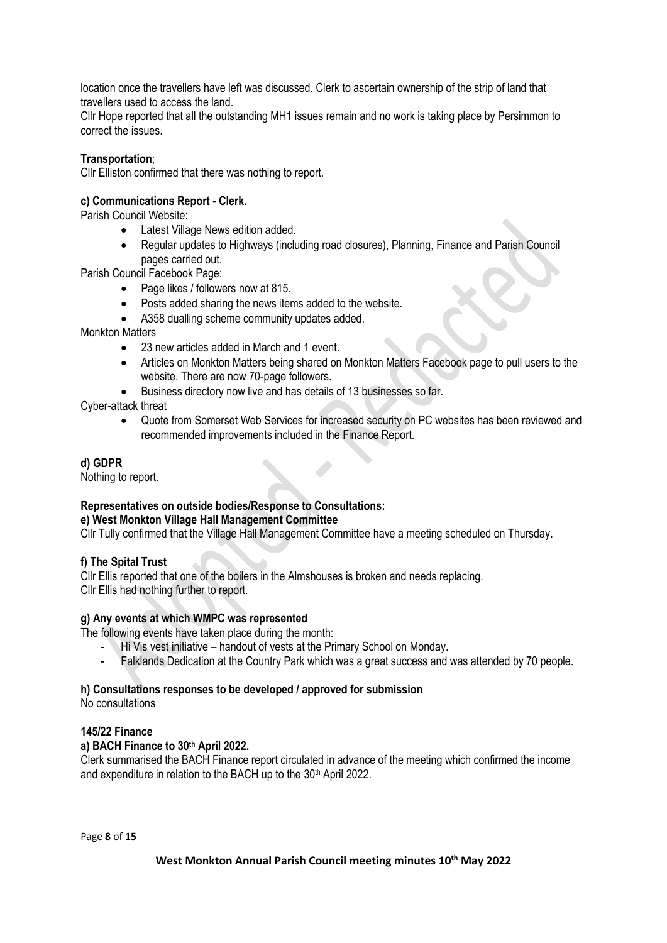location once the travellers have left was discussed. Clerk to ascertain ownership of the strip of land that travellers used to access the land.

Cllr Hope reported that all the outstanding MH1 issues remain and no work is taking place by Persimmon to correct the issues.

# **Transportation**;

Cllr Elliston confirmed that there was nothing to report.

# **c) Communications Report - Clerk.**

Parish Council Website:

- Latest Village News edition added.
- Regular updates to Highways (including road closures), Planning, Finance and Parish Council pages carried out.

Parish Council Facebook Page:

- Page likes / followers now at 815.
- Posts added sharing the news items added to the website.
- A358 dualling scheme community updates added.

Monkton Matters

- 23 new articles added in March and 1 event.
- Articles on Monkton Matters being shared on Monkton Matters Facebook page to pull users to the website. There are now 70-page followers.
- Business directory now live and has details of 13 businesses so far.

Cyber-attack threat

• Quote from Somerset Web Services for increased security on PC websites has been reviewed and recommended improvements included in the Finance Report.

## **d) GDPR**

Nothing to report.

# **Representatives on outside bodies/Response to Consultations:**

#### **e) West Monkton Village Hall Management Committee**

Cllr Tully confirmed that the Village Hall Management Committee have a meeting scheduled on Thursday.

# **f) The Spital Trust**

Cllr Ellis reported that one of the boilers in the Almshouses is broken and needs replacing. Cllr Ellis had nothing further to report.

#### **g) Any events at which WMPC was represented**

The following events have taken place during the month:

- Hi Vis vest initiative handout of vests at the Primary School on Monday.
- Falklands Dedication at the Country Park which was a great success and was attended by 70 people.

# **h) Consultations responses to be developed / approved for submission**

No consultations

#### **145/22 Finance**

#### **a) BACH Finance to 30 th April 2022.**

Clerk summarised the BACH Finance report circulated in advance of the meeting which confirmed the income and expenditure in relation to the BACH up to the 30<sup>th</sup> April 2022.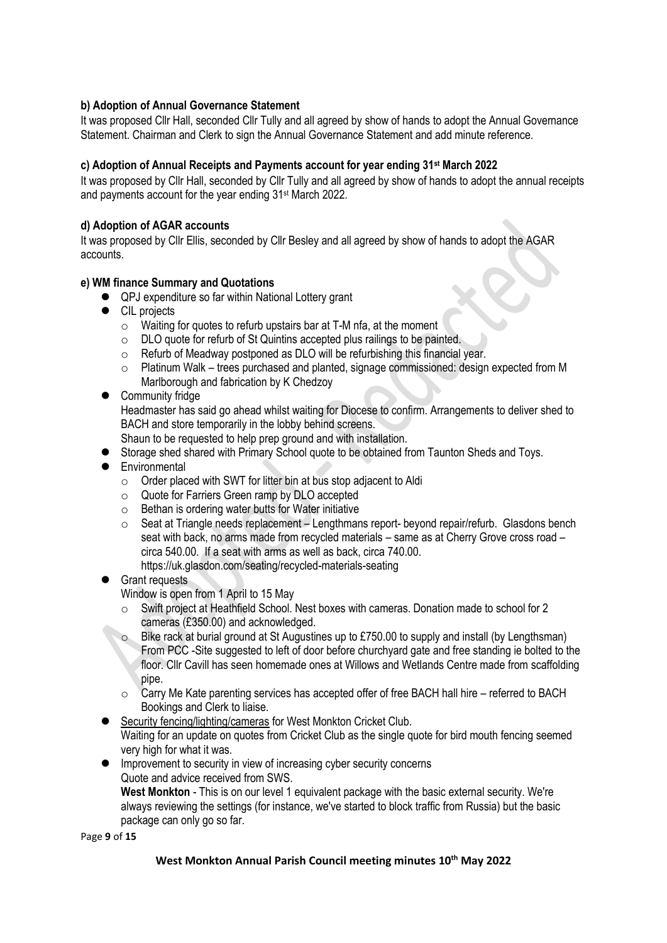# **b) Adoption of Annual Governance Statement**

It was proposed Cllr Hall, seconded Cllr Tully and all agreed by show of hands to adopt the Annual Governance Statement. Chairman and Clerk to sign the Annual Governance Statement and add minute reference.

# **c) Adoption of Annual Receipts and Payments account for year ending 31st March 2022**

It was proposed by Cllr Hall, seconded by Cllr Tully and all agreed by show of hands to adopt the annual receipts and payments account for the year ending 31st March 2022.

# **d) Adoption of AGAR accounts**

It was proposed by Cllr Ellis, seconded by Cllr Besley and all agreed by show of hands to adopt the AGAR accounts.

# **e) WM finance Summary and Quotations**

- QPJ expenditure so far within National Lottery grant
- CIL projects
	- $\circ$  Waiting for quotes to refurb upstairs bar at T-M nfa, at the moment
	- o DLO quote for refurb of St Quintins accepted plus railings to be painted.
	- o Refurb of Meadway postponed as DLO will be refurbishing this financial year.
	- $\circ$  Platinum Walk trees purchased and planted, signage commissioned: design expected from M Marlborough and fabrication by K Chedzoy

# ● Community fridge

Headmaster has said go ahead whilst waiting for Diocese to confirm. Arrangements to deliver shed to BACH and store temporarily in the lobby behind screens.

Shaun to be requested to help prep ground and with installation.

- Storage shed shared with Primary School quote to be obtained from Taunton Sheds and Toys.
- ⚫ Environmental
	- o Order placed with SWT for litter bin at bus stop adjacent to Aldi
	- o Quote for Farriers Green ramp by DLO accepted
	- $\circ$  Bethan is ordering water butts for Water initiative
	- $\circ$  Seat at Triangle needs replacement Lengthmans report- beyond repair/refurb. Glasdons bench seat with back, no arms made from recycled materials – same as at Cherry Grove cross road – circa 540.00. If a seat with arms as well as back, circa 740.00. https://uk.glasdon.com/seating/recycled-materials-seating

# ■ Grant requests

Window is open from 1 April to 15 May

- o Swift project at Heathfield School. Nest boxes with cameras. Donation made to school for 2 cameras (£350.00) and acknowledged.
- Bike rack at burial ground at St Augustines up to £750.00 to supply and install (by Lengthsman) From PCC -Site suggested to left of door before churchyard gate and free standing ie bolted to the floor. Cllr Cavill has seen homemade ones at Willows and Wetlands Centre made from scaffolding pipe.
- $\circ$  Carry Me Kate parenting services has accepted offer of free BACH hall hire referred to BACH Bookings and Clerk to liaise.
- Security fencing/lighting/cameras for West Monkton Cricket Club. Waiting for an update on quotes from Cricket Club as the single quote for bird mouth fencing seemed very high for what it was.
- Improvement to security in view of increasing cyber security concerns Quote and advice received from SWS. **West Monkton** - This is on our level 1 equivalent package with the basic external security. We're always reviewing the settings (for instance, we've started to block traffic from Russia) but the basic package can only go so far.

Page **9** of **15**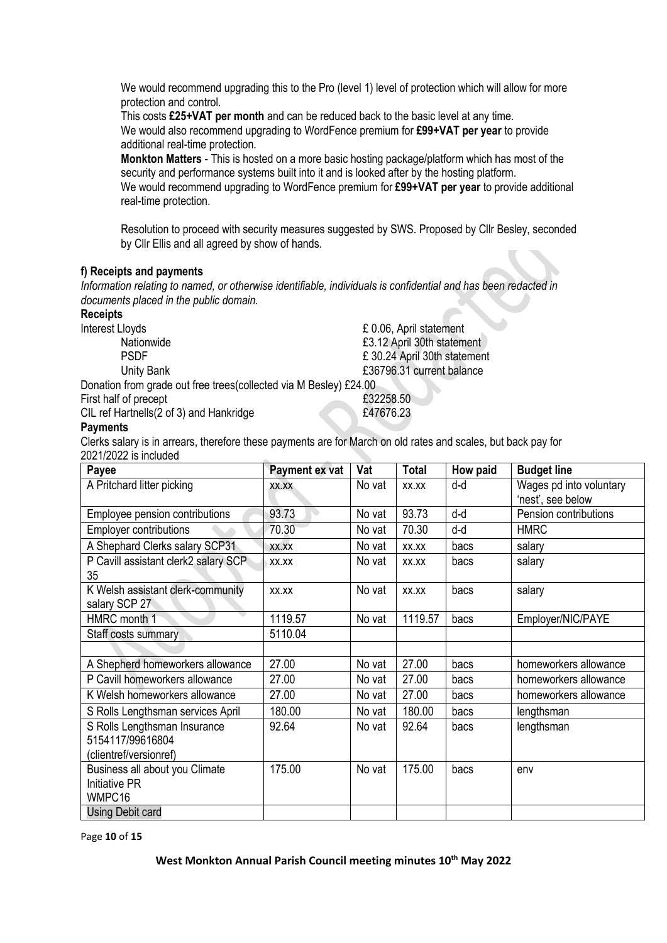We would recommend upgrading this to the Pro (level 1) level of protection which will allow for more protection and control.

This costs **£25+VAT per month** and can be reduced back to the basic level at any time. We would also recommend upgrading to WordFence premium for **£99+VAT per year** to provide additional real-time protection.

**Monkton Matters** - This is hosted on a more basic hosting package/platform which has most of the security and performance systems built into it and is looked after by the hosting platform. We would recommend upgrading to WordFence premium for **£99+VAT per year** to provide additional real-time protection.

Resolution to proceed with security measures suggested by SWS. Proposed by Cllr Besley, seconded by Cllr Ellis and all agreed by show of hands.

## **f) Receipts and payments**

*Information relating to named, or otherwise identifiable, individuals is confidential and has been redacted in documents placed in the public domain.*

#### **Receipts**

Interest Lloyds **E** 0.06, April statement

Nationwide **Nationwide E3.12 April 30th statement** 

Donation from grade out free trees(collected via M Besley) £24.00

First half of precept **E32258.50** 

CIL ref Hartnells(2 of 3) and Hankridge **E47676.23** 

PSDF £ 30.24 April 30th statement Unity Bank **E36796.31** current balance



# **Payments**

Clerks salary is in arrears, therefore these payments are for March on old rates and scales, but back pay for 2021/2022 is included

| Payee                                | Payment ex vat         | Vat    | <b>Total</b> | How paid | <b>Budget line</b>      |
|--------------------------------------|------------------------|--------|--------------|----------|-------------------------|
| A Pritchard litter picking           | XX.XX                  | No vat | XX.XX        | d-d      | Wages pd into voluntary |
|                                      |                        |        |              |          | 'nest', see below       |
| Employee pension contributions       | 93.73<br>$\rightarrow$ | No vat | 93.73        | d-d      | Pension contributions   |
| <b>Employer contributions</b>        | 70.30                  | No vat | 70.30        | d-d      | <b>HMRC</b>             |
| A Shephard Clerks salary SCP31       | XX.XX                  | No vat | XX.XX        | bacs     | salary                  |
| P Cavill assistant clerk2 salary SCP | XX.XX                  | No vat | XX.XX        | bacs     | salary                  |
| 35                                   |                        |        |              |          |                         |
| K Welsh assistant clerk-community    | XX.XX                  | No vat | XX.XX        | bacs     | salary                  |
| salary SCP 27                        |                        |        |              |          |                         |
| HMRC month 1                         | 1119.57                | No vat | 1119.57      | bacs     | Employer/NIC/PAYE       |
| Staff costs summary                  | 5110.04                |        |              |          |                         |
|                                      |                        |        |              |          |                         |
| A Shepherd homeworkers allowance     | 27.00                  | No vat | 27.00        | bacs     | homeworkers allowance   |
| P Cavill homeworkers allowance       | 27.00                  | No vat | 27.00        | bacs     | homeworkers allowance   |
| K Welsh homeworkers allowance        | 27.00                  | No vat | 27.00        | bacs     | homeworkers allowance   |
| S Rolls Lengthsman services April    | 180.00                 | No vat | 180.00       | bacs     | lengthsman              |
| S Rolls Lengthsman Insurance         | 92.64                  | No vat | 92.64        | bacs     | lengthsman              |
| 5154117/99616804                     |                        |        |              |          |                         |
| (clientref/versionref)               |                        |        |              |          |                         |
| Business all about you Climate       | 175.00                 | No vat | 175.00       | bacs     | env                     |
| <b>Initiative PR</b>                 |                        |        |              |          |                         |
| WMPC16                               |                        |        |              |          |                         |
| Using Debit card                     |                        |        |              |          |                         |

Page **10** of **15**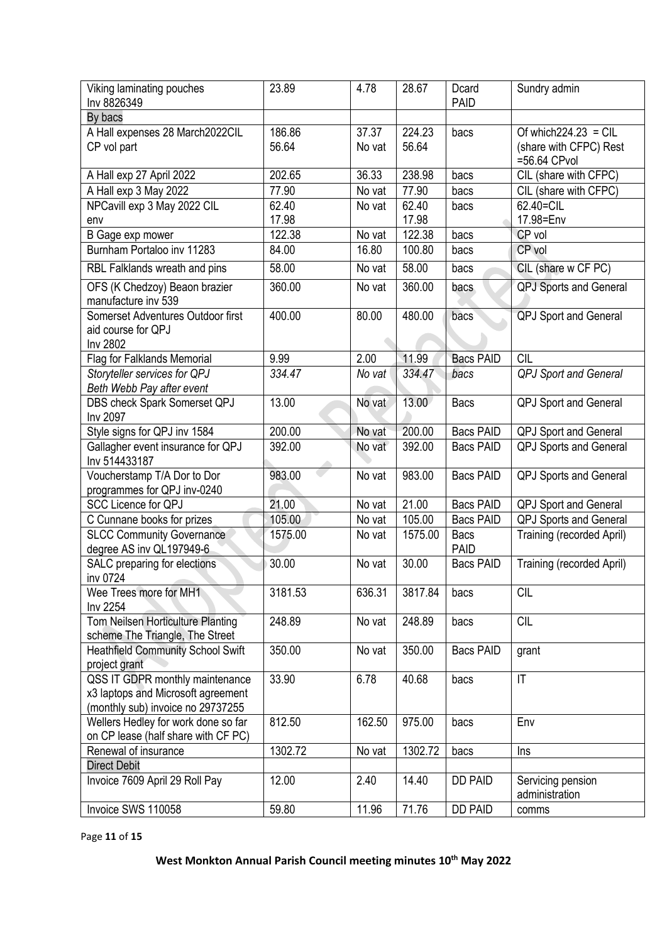| Viking laminating pouches                            | 23.89   | 4.78   | 28.67   | Dcard            | Sundry admin                  |
|------------------------------------------------------|---------|--------|---------|------------------|-------------------------------|
| Inv 8826349                                          |         |        |         | <b>PAID</b>      |                               |
| By bacs                                              |         |        |         |                  |                               |
| A Hall expenses 28 March2022CIL                      | 186.86  | 37.37  | 224.23  | bacs             | Of which $224.23$ = CIL       |
| CP vol part                                          | 56.64   | No vat | 56.64   |                  | (share with CFPC) Rest        |
|                                                      |         |        |         |                  | =56.64 CPvol                  |
| A Hall exp 27 April 2022                             | 202.65  | 36.33  | 238.98  | bacs             | CIL (share with CFPC)         |
| A Hall exp 3 May 2022                                | 77.90   | No vat | 77.90   | bacs             | CIL (share with CFPC)         |
| NPCavill exp 3 May 2022 CIL                          | 62.40   | No vat | 62.40   | bacs             | 62.40=CIL                     |
| env                                                  | 17.98   |        | 17.98   |                  | 17.98=Env                     |
| B Gage exp mower                                     | 122.38  | No vat | 122.38  | bacs             | CP vol                        |
| Burnham Portaloo inv 11283                           | 84.00   | 16.80  | 100.80  | bacs             | CP vol                        |
| RBL Falklands wreath and pins                        | 58.00   | No vat | 58.00   | bacs             | CIL (share w CF PC)           |
| OFS (K Chedzoy) Beaon brazier<br>manufacture inv 539 | 360.00  | No vat | 360.00  | bacs             | <b>QPJ Sports and General</b> |
| Somerset Adventures Outdoor first                    | 400.00  | 80.00  | 480.00  | bacs             | <b>QPJ</b> Sport and General  |
| aid course for QPJ                                   |         |        |         |                  |                               |
| Inv 2802                                             |         |        |         |                  |                               |
| Flag for Falklands Memorial                          | 9.99    | 2.00   | 11.99   | <b>Bacs PAID</b> | <b>CIL</b>                    |
| Storyteller services for QPJ                         | 334.47  | No vat | 334.47  | bacs             | QPJ Sport and General         |
| Beth Webb Pay after event                            |         |        |         |                  |                               |
| DBS check Spark Somerset QPJ                         | 13.00   | No vat | 13.00   | <b>Bacs</b>      | QPJ Sport and General         |
| Inv 2097                                             |         |        |         |                  |                               |
| Style signs for QPJ inv 1584                         | 200.00  | No vat | 200.00  | <b>Bacs PAID</b> | <b>QPJ Sport and General</b>  |
| Gallagher event insurance for QPJ                    | 392.00  | No vat | 392.00  | <b>Bacs PAID</b> | <b>QPJ Sports and General</b> |
| Inv 514433187                                        |         |        |         |                  |                               |
| Voucherstamp T/A Dor to Dor                          | 983.00  | No vat | 983.00  | <b>Bacs PAID</b> | <b>QPJ Sports and General</b> |
| programmes for QPJ inv-0240                          |         |        |         |                  |                               |
| <b>SCC Licence for QPJ</b>                           | 21.00   | No vat | 21.00   | <b>Bacs PAID</b> | QPJ Sport and General         |
| C Cunnane books for prizes                           | 105.00  | No vat | 105.00  | <b>Bacs PAID</b> | QPJ Sports and General        |
| <b>SLCC Community Governance</b>                     | 1575.00 | No vat | 1575.00 | <b>Bacs</b>      | Training (recorded April)     |
| degree AS inv QL197949-6                             |         |        |         | <b>PAID</b>      |                               |
| SALC preparing for elections                         | 30.00   | No vat | 30.00   | <b>Bacs PAID</b> | Training (recorded April)     |
| inv 0724                                             |         |        |         |                  |                               |
| Wee Trees more for MH1                               | 3181.53 | 636.31 | 3817.84 | bacs             | <b>CIL</b>                    |
| Inv 2254                                             |         |        |         |                  |                               |
| Tom Neilsen Horticulture Planting                    | 248.89  | No vat | 248.89  | bacs             | <b>CIL</b>                    |
| scheme The Triangle, The Street                      |         |        |         |                  |                               |
| <b>Heathfield Community School Swift</b>             | 350.00  | No vat | 350.00  | <b>Bacs PAID</b> | grant                         |
| project grant                                        |         |        |         |                  |                               |
| QSS IT GDPR monthly maintenance                      | 33.90   | 6.78   | 40.68   | bacs             | $\mathsf{I}\mathsf{T}$        |
| x3 laptops and Microsoft agreement                   |         |        |         |                  |                               |
| (monthly sub) invoice no 29737255                    |         |        |         |                  |                               |
| Wellers Hedley for work done so far                  | 812.50  | 162.50 | 975.00  | bacs             | Env                           |
| on CP lease (half share with CF PC)                  |         |        |         |                  |                               |
| Renewal of insurance                                 | 1302.72 | No vat | 1302.72 | bacs             | Ins                           |
| <b>Direct Debit</b>                                  |         |        |         |                  |                               |
| Invoice 7609 April 29 Roll Pay                       | 12.00   | 2.40   | 14.40   | <b>DD PAID</b>   | Servicing pension             |
|                                                      |         |        |         |                  | administration                |
| Invoice SWS 110058                                   | 59.80   | 11.96  | 71.76   | <b>DD PAID</b>   | comms                         |

Page **11** of **15**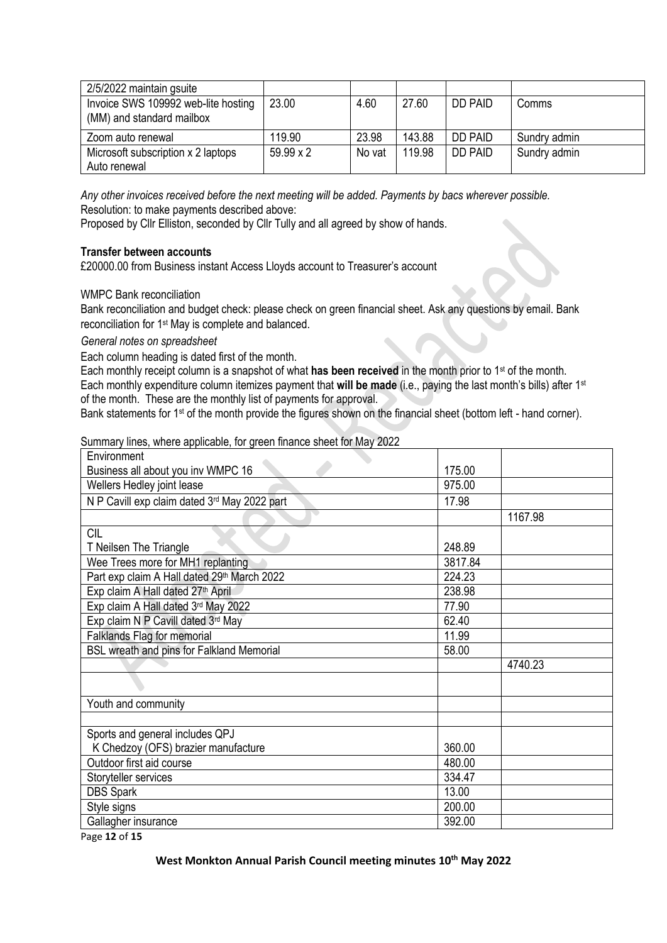| 2/5/2022 maintain gsuite            |                  |        |        |                |              |
|-------------------------------------|------------------|--------|--------|----------------|--------------|
| Invoice SWS 109992 web-lite hosting | 23.00            | 4.60   | 27.60  | <b>DD PAID</b> | Comms        |
| (MM) and standard mailbox           |                  |        |        |                |              |
| Zoom auto renewal                   | 119.90           | 23.98  | 143.88 | <b>DD PAID</b> | Sundry admin |
| Microsoft subscription x 2 laptops  | $59.99 \times 2$ | No vat | 119.98 | <b>DD PAID</b> | Sundry admin |
| Auto renewal                        |                  |        |        |                |              |

*Any other invoices received before the next meeting will be added. Payments by bacs wherever possible.* Resolution: to make payments described above:

Proposed by Cllr Elliston, seconded by Cllr Tully and all agreed by show of hands.

## **Transfer between accounts**

£20000.00 from Business instant Access Lloyds account to Treasurer's account

## WMPC Bank reconciliation

Bank reconciliation and budget check: please check on green financial sheet. Ask any questions by email. Bank reconciliation for 1st May is complete and balanced.

#### *General notes on spreadsheet*

Each column heading is dated first of the month.

Each monthly receipt column is a snapshot of what **has been received** in the month prior to 1st of the month. Each monthly expenditure column itemizes payment that **will be made** (i.e., paying the last month's bills) after 1st of the month. These are the monthly list of payments for approval.

Bank statements for 1<sup>st</sup> of the month provide the figures shown on the financial sheet (bottom left - hand corner).

#### Summary lines, where applicable, for green finance sheet for May 2022

| Environment                                   |         |         |
|-----------------------------------------------|---------|---------|
| Business all about you inv WMPC 16            | 175.00  |         |
| Wellers Hedley joint lease                    | 975.00  |         |
| N P Cavill exp claim dated 3rd May 2022 part  | 17.98   |         |
|                                               |         | 1167.98 |
| <b>CIL</b>                                    |         |         |
| T Neilsen The Triangle                        | 248.89  |         |
| Wee Trees more for MH1 replanting             | 3817.84 |         |
| Part exp claim A Hall dated 29th March 2022   | 224.23  |         |
| Exp claim A Hall dated 27 <sup>th</sup> April | 238.98  |         |
| Exp claim A Hall dated 3rd May 2022           | 77.90   |         |
| Exp claim N P Cavill dated 3rd May            | 62.40   |         |
| Falklands Flag for memorial                   | 11.99   |         |
| BSL wreath and pins for Falkland Memorial     | 58.00   |         |
|                                               |         | 4740.23 |
|                                               |         |         |
| Youth and community                           |         |         |
|                                               |         |         |
| Sports and general includes QPJ               |         |         |
| K Chedzoy (OFS) brazier manufacture           | 360.00  |         |
| Outdoor first aid course                      | 480.00  |         |
| Storyteller services                          | 334.47  |         |
| <b>DBS Spark</b>                              | 13.00   |         |
| Style signs                                   | 200.00  |         |
| Gallagher insurance                           | 392.00  |         |

Page **12** of **15**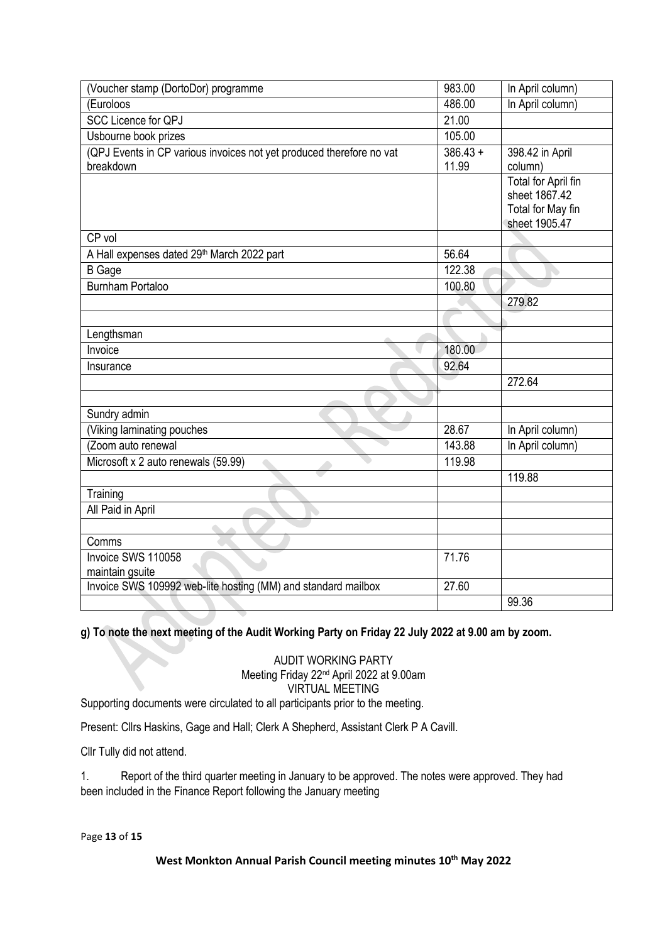| (Voucher stamp (DortoDor) programme                                  | 983.00     | In April column)           |
|----------------------------------------------------------------------|------------|----------------------------|
| (Euroloos                                                            | 486.00     | In April column)           |
| <b>SCC Licence for QPJ</b>                                           | 21.00      |                            |
| Usbourne book prizes                                                 | 105.00     |                            |
| (QPJ Events in CP various invoices not yet produced therefore no vat | $386.43 +$ | 398.42 in April            |
| breakdown                                                            | 11.99      | column)                    |
|                                                                      |            | <b>Total for April fin</b> |
|                                                                      |            | sheet 1867.42              |
|                                                                      |            | Total for May fin          |
|                                                                      |            | sheet 1905.47              |
| CP vol                                                               |            |                            |
| A Hall expenses dated 29th March 2022 part                           | 56.64      |                            |
| <b>B</b> Gage                                                        | 122.38     |                            |
| <b>Burnham Portaloo</b>                                              | 100.80     |                            |
|                                                                      |            | 279.82                     |
|                                                                      |            |                            |
| Lengthsman                                                           |            |                            |
| Invoice                                                              | 180.00     |                            |
| Insurance                                                            | 92.64      |                            |
|                                                                      |            | 272.64                     |
|                                                                      |            |                            |
| Sundry admin                                                         |            |                            |
| (Viking laminating pouches                                           | 28.67      | In April column)           |
| (Zoom auto renewal                                                   | 143.88     | In April column)           |
| Microsoft x 2 auto renewals (59.99)                                  | 119.98     |                            |
|                                                                      |            | 119.88                     |
| Training                                                             |            |                            |
| All Paid in April                                                    |            |                            |
|                                                                      |            |                            |
| Comms                                                                |            |                            |
| Invoice SWS 110058                                                   | 71.76      |                            |
| maintain gsuite                                                      |            |                            |
| Invoice SWS 109992 web-lite hosting (MM) and standard mailbox        | 27.60      |                            |
|                                                                      |            | 99.36                      |

**g) To note the next meeting of the Audit Working Party on Friday 22 July 2022 at 9.00 am by zoom.** 

AUDIT WORKING PARTY Meeting Friday 22nd April 2022 at 9.00am VIRTUAL MEETING

Supporting documents were circulated to all participants prior to the meeting.

Present: Cllrs Haskins, Gage and Hall; Clerk A Shepherd, Assistant Clerk P A Cavill.

Cllr Tully did not attend.

1. Report of the third quarter meeting in January to be approved. The notes were approved. They had been included in the Finance Report following the January meeting

Page **13** of **15**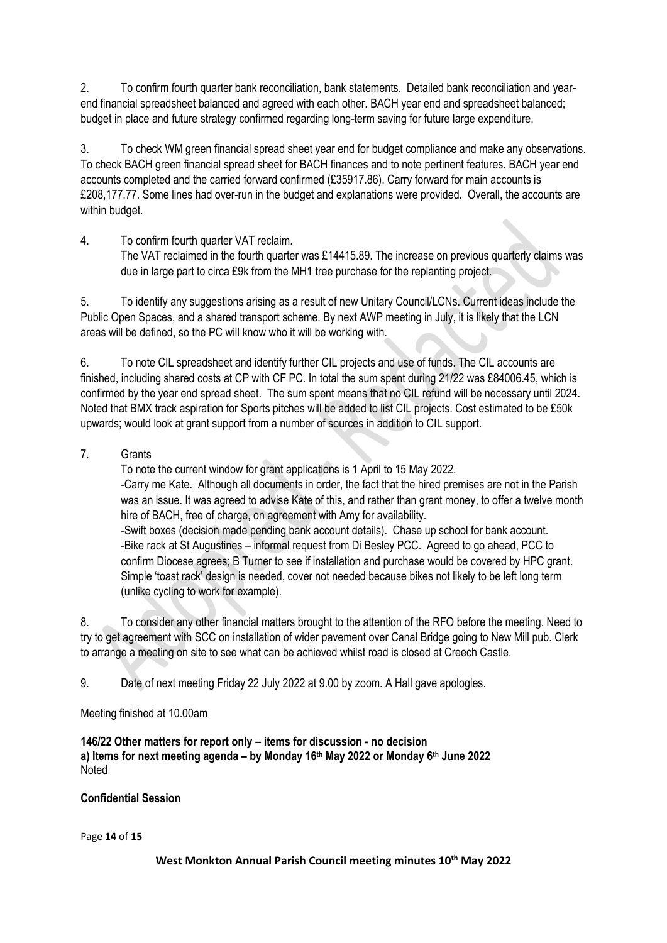2. To confirm fourth quarter bank reconciliation, bank statements. Detailed bank reconciliation and yearend financial spreadsheet balanced and agreed with each other. BACH year end and spreadsheet balanced; budget in place and future strategy confirmed regarding long-term saving for future large expenditure.

3. To check WM green financial spread sheet year end for budget compliance and make any observations. To check BACH green financial spread sheet for BACH finances and to note pertinent features. BACH year end accounts completed and the carried forward confirmed (£35917.86). Carry forward for main accounts is £208,177.77. Some lines had over-run in the budget and explanations were provided. Overall, the accounts are within budget.

4. To confirm fourth quarter VAT reclaim. The VAT reclaimed in the fourth quarter was £14415.89. The increase on previous quarterly claims was due in large part to circa £9k from the MH1 tree purchase for the replanting project.

5. To identify any suggestions arising as a result of new Unitary Council/LCNs. Current ideas include the Public Open Spaces, and a shared transport scheme. By next AWP meeting in July, it is likely that the LCN areas will be defined, so the PC will know who it will be working with.

6. To note CIL spreadsheet and identify further CIL projects and use of funds. The CIL accounts are finished, including shared costs at CP with CF PC. In total the sum spent during 21/22 was £84006.45, which is confirmed by the year end spread sheet. The sum spent means that no CIL refund will be necessary until 2024. Noted that BMX track aspiration for Sports pitches will be added to list CIL projects. Cost estimated to be £50k upwards; would look at grant support from a number of sources in addition to CIL support.

7. Grants

To note the current window for grant applications is 1 April to 15 May 2022. -Carry me Kate. Although all documents in order, the fact that the hired premises are not in the Parish was an issue. It was agreed to advise Kate of this, and rather than grant money, to offer a twelve month hire of BACH, free of charge, on agreement with Amy for availability. -Swift boxes (decision made pending bank account details). Chase up school for bank account.

-Bike rack at St Augustines – informal request from Di Besley PCC. Agreed to go ahead, PCC to confirm Diocese agrees; B Turner to see if installation and purchase would be covered by HPC grant. Simple 'toast rack' design is needed, cover not needed because bikes not likely to be left long term (unlike cycling to work for example).

8. To consider any other financial matters brought to the attention of the RFO before the meeting. Need to try to get agreement with SCC on installation of wider pavement over Canal Bridge going to New Mill pub. Clerk to arrange a meeting on site to see what can be achieved whilst road is closed at Creech Castle.

9. Date of next meeting Friday 22 July 2022 at 9.00 by zoom. A Hall gave apologies.

Meeting finished at 10.00am

**146/22 Other matters for report only – items for discussion - no decision a) Items for next meeting agenda – by Monday 16 th May 2022 or Monday 6 th June 2022** Noted

# **Confidential Session**

Page **14** of **15**